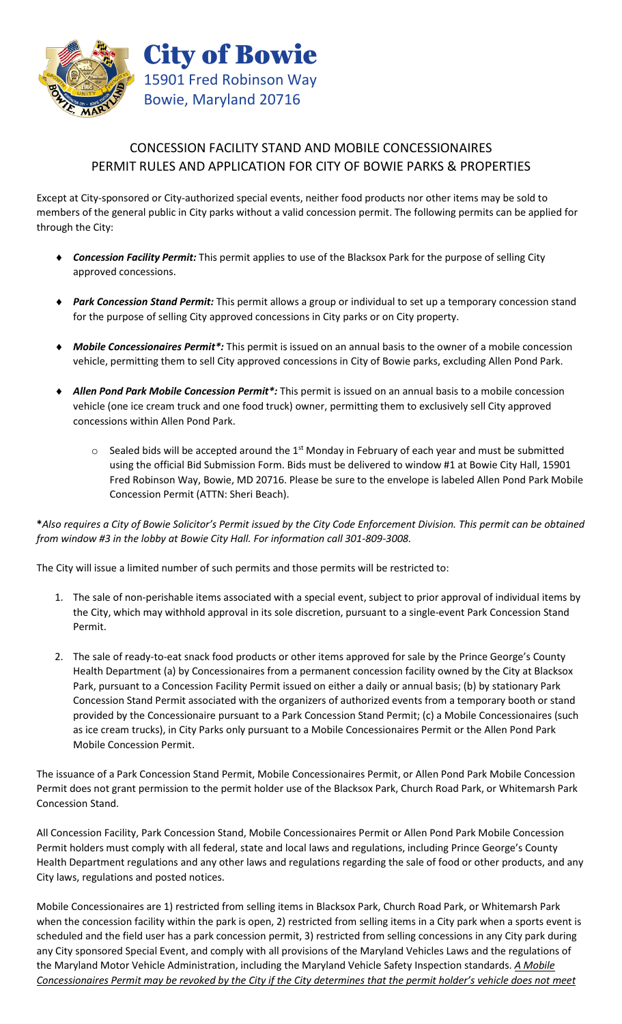

# CONCESSION FACILITY STAND AND MOBILE CONCESSIONAIRES PERMIT RULES AND APPLICATION FOR CITY OF BOWIE PARKS & PROPERTIES

Except at City-sponsored or City-authorized special events, neither food products nor other items may be sold to members of the general public in City parks without a valid concession permit. The following permits can be applied for through the City:

- ♦ *Concession Facility Permit:* This permit applies to use of the Blacksox Park for the purpose of selling City approved concessions.
- ♦ *Park Concession Stand Permit:* This permit allows a group or individual to set up a temporary concession stand for the purpose of selling City approved concessions in City parks or on City property.
- *Mobile Concessionaires Permit\*:* This permit is issued on an annual basis to the owner of a mobile concession vehicle, permitting them to sell City approved concessions in City of Bowie parks, excluding Allen Pond Park.
- Allen Pond Park Mobile Concession Permit<sup>\*</sup>: This permit is issued on an annual basis to a mobile concession vehicle (one ice cream truck and one food truck) owner, permitting them to exclusively sell City approved concessions within Allen Pond Park.
	- $\circ$  Sealed bids will be accepted around the 1<sup>st</sup> Monday in February of each year and must be submitted using the official Bid Submission Form. Bids must be delivered to window #1 at Bowie City Hall, 15901 Fred Robinson Way, Bowie, MD 20716. Please be sure to the envelope is labeled Allen Pond Park Mobile Concession Permit (ATTN: Sheri Beach).

**\****Also requires a City of Bowie Solicitor's Permit issued by the City Code Enforcement Division. This permit can be obtained from window #3 in the lobby at Bowie City Hall. For information call 301-809-3008.*

The City will issue a limited number of such permits and those permits will be restricted to:

- 1. The sale of non-perishable items associated with a special event, subject to prior approval of individual items by the City, which may withhold approval in its sole discretion, pursuant to a single-event Park Concession Stand Permit.
- 2. The sale of ready-to-eat snack food products or other items approved for sale by the Prince George's County Health Department (a) by Concessionaires from a permanent concession facility owned by the City at Blacksox Park, pursuant to a Concession Facility Permit issued on either a daily or annual basis; (b) by stationary Park Concession Stand Permit associated with the organizers of authorized events from a temporary booth or stand provided by the Concessionaire pursuant to a Park Concession Stand Permit; (c) a Mobile Concessionaires (such as ice cream trucks), in City Parks only pursuant to a Mobile Concessionaires Permit or the Allen Pond Park Mobile Concession Permit.

The issuance of a Park Concession Stand Permit, Mobile Concessionaires Permit, or Allen Pond Park Mobile Concession Permit does not grant permission to the permit holder use of the Blacksox Park, Church Road Park, or Whitemarsh Park Concession Stand.

All Concession Facility, Park Concession Stand, Mobile Concessionaires Permit or Allen Pond Park Mobile Concession Permit holders must comply with all federal, state and local laws and regulations, including Prince George's County Health Department regulations and any other laws and regulations regarding the sale of food or other products, and any City laws, regulations and posted notices.

Mobile Concessionaires are 1) restricted from selling items in Blacksox Park, Church Road Park, or Whitemarsh Park when the concession facility within the park is open, 2) restricted from selling items in a City park when a sports event is scheduled and the field user has a park concession permit, 3) restricted from selling concessions in any City park during any City sponsored Special Event, and comply with all provisions of the Maryland Vehicles Laws and the regulations of the Maryland Motor Vehicle Administration, including the Maryland Vehicle Safety Inspection standards. *A Mobile Concessionaires Permit may be revoked by the City if the City determines that the permit holder's vehicle does not meet*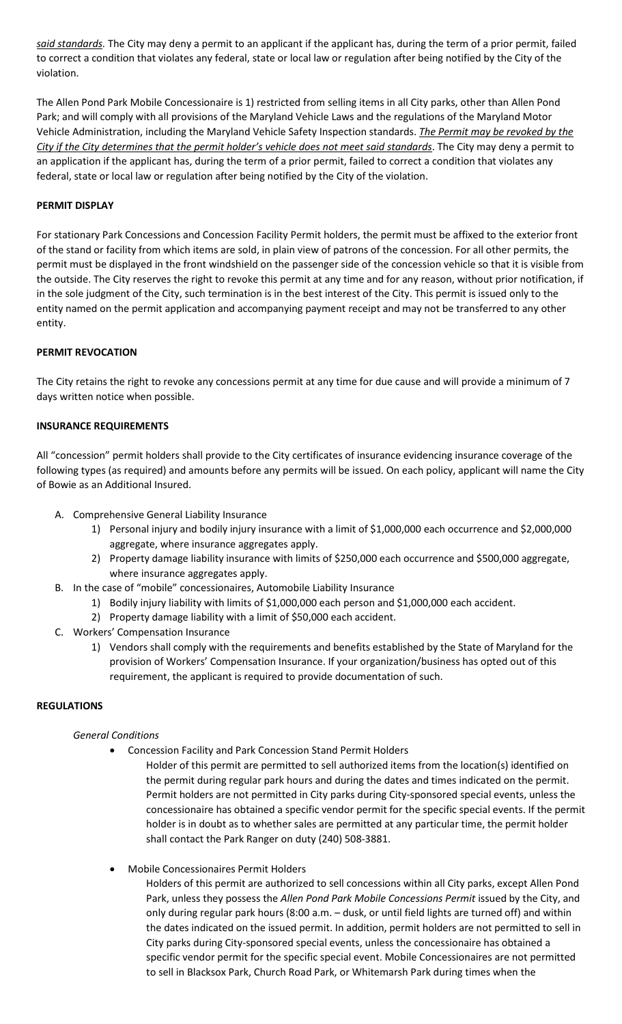*said standards.* The City may deny a permit to an applicant if the applicant has, during the term of a prior permit, failed to correct a condition that violates any federal, state or local law or regulation after being notified by the City of the violation.

The Allen Pond Park Mobile Concessionaire is 1) restricted from selling items in all City parks, other than Allen Pond Park; and will comply with all provisions of the Maryland Vehicle Laws and the regulations of the Maryland Motor Vehicle Administration, including the Maryland Vehicle Safety Inspection standards. *The Permit may be revoked by the City if the City determines that the permit holder's vehicle does not meet said standards*. The City may deny a permit to an application if the applicant has, during the term of a prior permit, failed to correct a condition that violates any federal, state or local law or regulation after being notified by the City of the violation.

## **PERMIT DISPLAY**

For stationary Park Concessions and Concession Facility Permit holders, the permit must be affixed to the exterior front of the stand or facility from which items are sold, in plain view of patrons of the concession. For all other permits, the permit must be displayed in the front windshield on the passenger side of the concession vehicle so that it is visible from the outside. The City reserves the right to revoke this permit at any time and for any reason, without prior notification, if in the sole judgment of the City, such termination is in the best interest of the City. This permit is issued only to the entity named on the permit application and accompanying payment receipt and may not be transferred to any other entity.

## **PERMIT REVOCATION**

The City retains the right to revoke any concessions permit at any time for due cause and will provide a minimum of 7 days written notice when possible.

#### **INSURANCE REQUIREMENTS**

All "concession" permit holders shall provide to the City certificates of insurance evidencing insurance coverage of the following types (as required) and amounts before any permits will be issued. On each policy, applicant will name the City of Bowie as an Additional Insured.

- A. Comprehensive General Liability Insurance
	- 1) Personal injury and bodily injury insurance with a limit of \$1,000,000 each occurrence and \$2,000,000 aggregate, where insurance aggregates apply.
	- 2) Property damage liability insurance with limits of \$250,000 each occurrence and \$500,000 aggregate, where insurance aggregates apply.
- B. In the case of "mobile" concessionaires, Automobile Liability Insurance
	- 1) Bodily injury liability with limits of \$1,000,000 each person and \$1,000,000 each accident.
	- 2) Property damage liability with a limit of \$50,000 each accident.
- C. Workers' Compensation Insurance
	- 1) Vendors shall comply with the requirements and benefits established by the State of Maryland for the provision of Workers' Compensation Insurance. If your organization/business has opted out of this requirement, the applicant is required to provide documentation of such.

#### **REGULATIONS**

#### *General Conditions*

- Concession Facility and Park Concession Stand Permit Holders
	- Holder of this permit are permitted to sell authorized items from the location(s) identified on the permit during regular park hours and during the dates and times indicated on the permit. Permit holders are not permitted in City parks during City-sponsored special events, unless the concessionaire has obtained a specific vendor permit for the specific special events. If the permit holder is in doubt as to whether sales are permitted at any particular time, the permit holder shall contact the Park Ranger on duty (240) 508-3881.
- Mobile Concessionaires Permit Holders

Holders of this permit are authorized to sell concessions within all City parks, except Allen Pond Park, unless they possess the *Allen Pond Park Mobile Concessions Permit* issued by the City, and only during regular park hours (8:00 a.m. – dusk, or until field lights are turned off) and within the dates indicated on the issued permit. In addition, permit holders are not permitted to sell in City parks during City-sponsored special events, unless the concessionaire has obtained a specific vendor permit for the specific special event. Mobile Concessionaires are not permitted to sell in Blacksox Park, Church Road Park, or Whitemarsh Park during times when the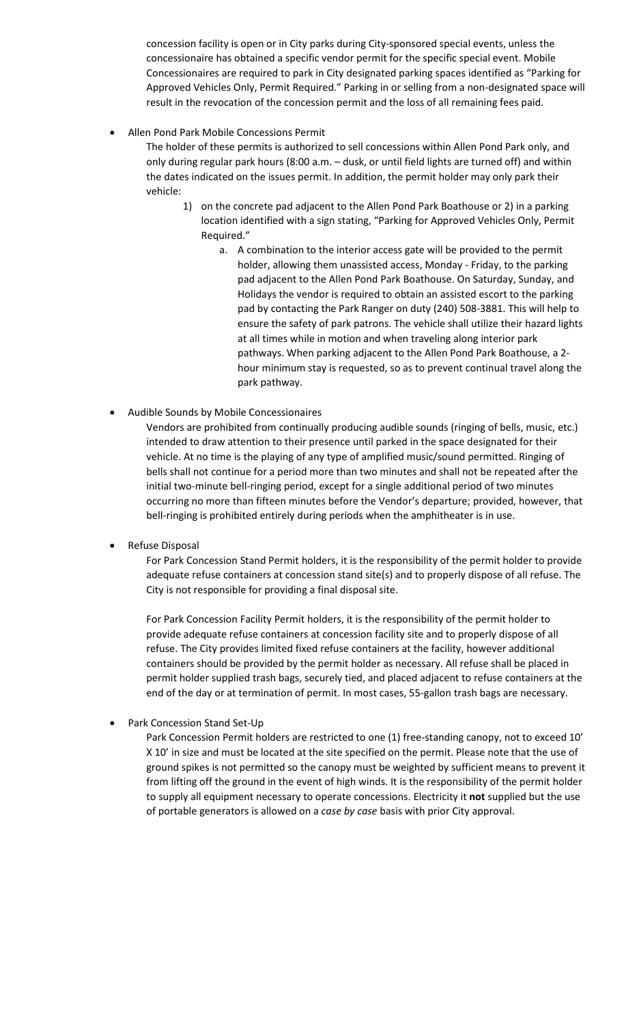concession facility is open or in City parks during City-sponsored special events, unless the concessionaire has obtained a specific vendor permit for the specific special event. Mobile Concessionaires are required to park in City designated parking spaces identified as "Parking for Approved Vehicles Only, Permit Required." Parking in or selling from a non-designated space will result in the revocation of the concession permit and the loss of all remaining fees paid.

• Allen Pond Park Mobile Concessions Permit

The holder of these permits is authorized to sell concessions within Allen Pond Park only, and only during regular park hours (8:00 a.m. – dusk, or until field lights are turned off) and within the dates indicated on the issues permit. In addition, the permit holder may only park their vehicle:

- 1) on the concrete pad adjacent to the Allen Pond Park Boathouse or 2) in a parking location identified with a sign stating, "Parking for Approved Vehicles Only, Permit Required."
	- a. A combination to the interior access gate will be provided to the permit holder, allowing them unassisted access, Monday - Friday, to the parking pad adjacent to the Allen Pond Park Boathouse. On Saturday, Sunday, and Holidays the vendor is required to obtain an assisted escort to the parking pad by contacting the Park Ranger on duty (240) 508-3881. This will help to ensure the safety of park patrons. The vehicle shall utilize their hazard lights at all times while in motion and when traveling along interior park pathways. When parking adjacent to the Allen Pond Park Boathouse, a 2 hour minimum stay is requested, so as to prevent continual travel along the park pathway.
- Audible Sounds by Mobile Concessionaires

Vendors are prohibited from continually producing audible sounds (ringing of bells, music, etc.) intended to draw attention to their presence until parked in the space designated for their vehicle. At no time is the playing of any type of amplified music/sound permitted. Ringing of bells shall not continue for a period more than two minutes and shall not be repeated after the initial two-minute bell-ringing period, except for a single additional period of two minutes occurring no more than fifteen minutes before the Vendor's departure; provided, however, that bell-ringing is prohibited entirely during periods when the amphitheater is in use.

• Refuse Disposal

For Park Concession Stand Permit holders, it is the responsibility of the permit holder to provide adequate refuse containers at concession stand site(s) and to properly dispose of all refuse. The City is not responsible for providing a final disposal site.

For Park Concession Facility Permit holders, it is the responsibility of the permit holder to provide adequate refuse containers at concession facility site and to properly dispose of all refuse. The City provides limited fixed refuse containers at the facility, however additional containers should be provided by the permit holder as necessary. All refuse shall be placed in permit holder supplied trash bags, securely tied, and placed adjacent to refuse containers at the end of the day or at termination of permit. In most cases, 55-gallon trash bags are necessary.

• Park Concession Stand Set-Up

Park Concession Permit holders are restricted to one (1) free-standing canopy, not to exceed 10' X 10' in size and must be located at the site specified on the permit. Please note that the use of ground spikes is not permitted so the canopy must be weighted by sufficient means to prevent it from lifting off the ground in the event of high winds. It is the responsibility of the permit holder to supply all equipment necessary to operate concessions. Electricity it **not** supplied but the use of portable generators is allowed on a *case by case* basis with prior City approval.